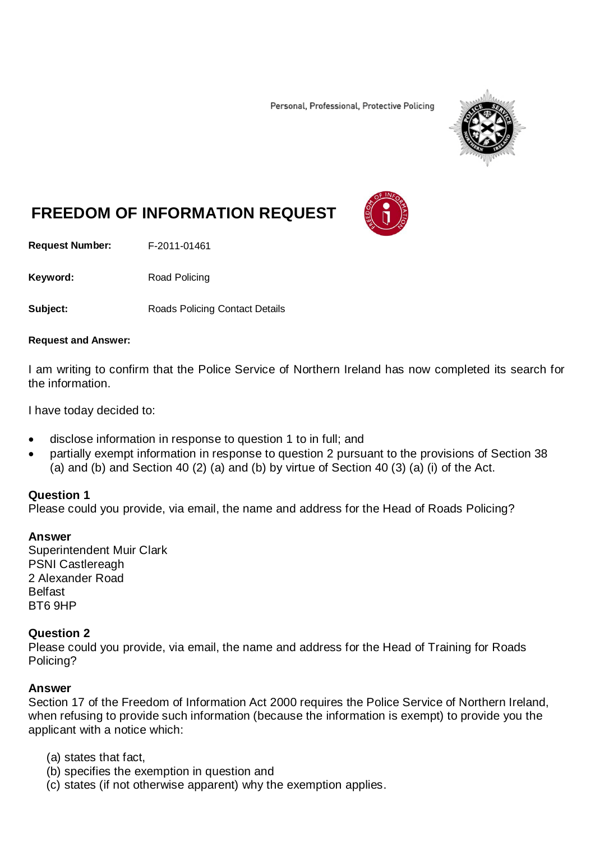Personal, Professional, Protective Policing



# **FREEDOM OF INFORMATION REQUEST**

**Request Number:** F-2011-01461

Keyword: Road Policing

**Subject:** Roads Policing Contact Details

#### **Request and Answer:**

I am writing to confirm that the Police Service of Northern Ireland has now completed its search for the information.

I have today decided to:

- disclose information in response to question 1 to in full; and
- partially exempt information in response to question 2 pursuant to the provisions of Section 38 (a) and (b) and Section 40 (2) (a) and (b) by virtue of Section 40 (3) (a) (i) of the Act.

#### **Question 1**

Please could you provide, via email, the name and address for the Head of Roads Policing?

#### **Answer**

Superintendent Muir Clark PSNI Castlereagh 2 Alexander Road **Belfast** BT6 9HP

## **Question 2**

Please could you provide, via email, the name and address for the Head of Training for Roads Policing?

#### **Answer**

Section 17 of the Freedom of Information Act 2000 requires the Police Service of Northern Ireland, when refusing to provide such information (because the information is exempt) to provide you the applicant with a notice which:

- (a) states that fact,
- (b) specifies the exemption in question and
- (c) states (if not otherwise apparent) why the exemption applies.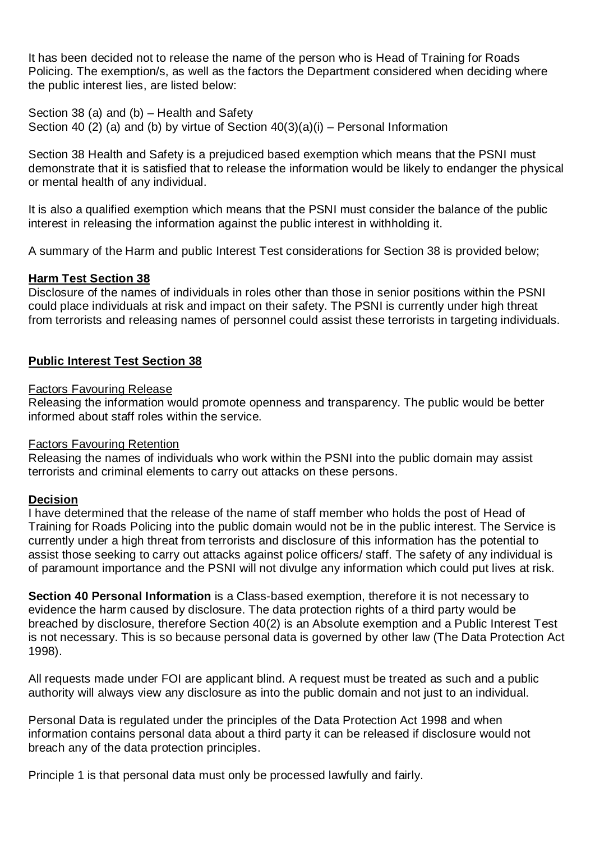It has been decided not to release the name of the person who is Head of Training for Roads Policing. The exemption/s, as well as the factors the Department considered when deciding where the public interest lies, are listed below:

Section 38 (a) and (b) – Health and Safety Section 40 (2) (a) and (b) by virtue of Section  $40(3)(a)(i)$  – Personal Information

Section 38 Health and Safety is a prejudiced based exemption which means that the PSNI must demonstrate that it is satisfied that to release the information would be likely to endanger the physical or mental health of any individual.

It is also a qualified exemption which means that the PSNI must consider the balance of the public interest in releasing the information against the public interest in withholding it.

A summary of the Harm and public Interest Test considerations for Section 38 is provided below;

## **Harm Test Section 38**

Disclosure of the names of individuals in roles other than those in senior positions within the PSNI could place individuals at risk and impact on their safety. The PSNI is currently under high threat from terrorists and releasing names of personnel could assist these terrorists in targeting individuals.

## **Public Interest Test Section 38**

## Factors Favouring Release

Releasing the information would promote openness and transparency. The public would be better informed about staff roles within the service.

## Factors Favouring Retention

Releasing the names of individuals who work within the PSNI into the public domain may assist terrorists and criminal elements to carry out attacks on these persons.

## **Decision**

I have determined that the release of the name of staff member who holds the post of Head of Training for Roads Policing into the public domain would not be in the public interest. The Service is currently under a high threat from terrorists and disclosure of this information has the potential to assist those seeking to carry out attacks against police officers/ staff. The safety of any individual is of paramount importance and the PSNI will not divulge any information which could put lives at risk.

**Section 40 Personal Information** is a Class-based exemption, therefore it is not necessary to evidence the harm caused by disclosure. The data protection rights of a third party would be breached by disclosure, therefore Section 40(2) is an Absolute exemption and a Public Interest Test is not necessary. This is so because personal data is governed by other law (The Data Protection Act 1998).

All requests made under FOI are applicant blind. A request must be treated as such and a public authority will always view any disclosure as into the public domain and not just to an individual.

Personal Data is regulated under the principles of the Data Protection Act 1998 and when information contains personal data about a third party it can be released if disclosure would not breach any of the data protection principles.

Principle 1 is that personal data must only be processed lawfully and fairly.